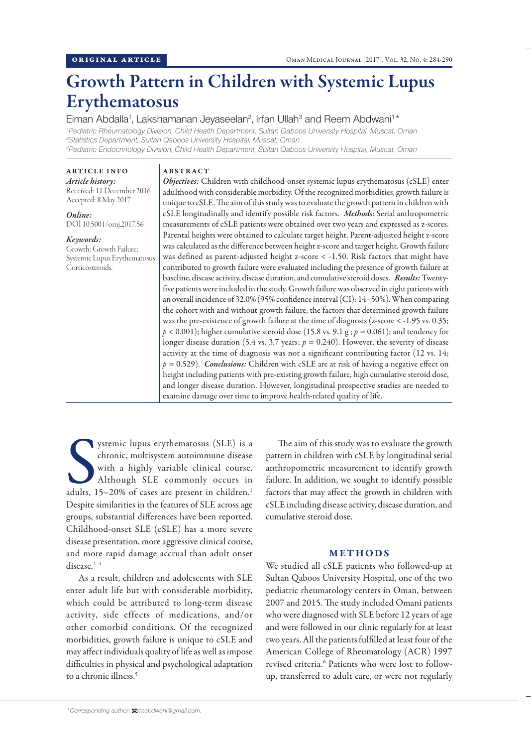# Growth Pattern in Children with Systemic Lupus Erythematosus

Eiman Abdalla<sup>1</sup>, Lakshamanan Jeyaseelan<sup>2</sup>, Irfan Ullah<sup>3</sup> and Reem Abdwani<sup>1\*</sup> *Pediatric Rheumatology Division, Child Health Department, Sultan Qaboos University Hospital, Muscat, Oman Statistics Department, Sultan Qaboos University Hospital, Muscat, Oman Pediatric Endocrinology Division, Child Health Department, Sultan Qaboos University Hospital, Muscat, Oman*

# ARTICLE INFO

*Article history:* Received: 11 December 2016 Accepted: 8 May 2017

*Online:* DOI 10.5001/omj.2017.56

## *Keywords:*

Growth; Growth Failure; Systemic Lupus Erythematosus; Corticosteroids.

ABSTRACT

*Objectives:* Children with childhood-onset systemic lupus erythematosus (cSLE) enter adulthood with considerable morbidity. Of the recognized morbidities, growth failure is unique to cSLE. The aim of this study was to evaluate the growth pattern in children with cSLE longitudinally and identify possible risk factors. *Methods*: Serial anthropometric measurements of cSLE patients were obtained over two years and expressed as z-scores. Parental heights were obtained to calculate target height. Parent-adjusted height z-score was calculated as the difference between height z-score and target height. Growth failure was defined as parent-adjusted height z-score *<* -1.50. Risk factors that might have contributed to growth failure were evaluated including the presence of growth failure at baseline, disease activity, disease duration, and cumulative steroid doses. *Results:* Twentyfive patients were included in the study. Growth failure was observed in eight patients with an overall incidence of 32.0% (95% confidence interval (CI): 14–50%). When comparing the cohort with and without growth failure, the factors that determined growth failure was the pre-existence of growth failure at the time of diagnosis (z-score < -1.95 vs. 0.35;  $p < 0.001$ ); higher cumulative steroid dose (15.8 vs. 9.1 g ;  $p = 0.061$ ); and tendency for longer disease duration (5.4 vs. 3.7 years;  $p = 0.240$ ). However, the severity of disease activity at the time of diagnosis was not a significant contributing factor (12 vs. 14; *p =* 0.529). *Conclusions:* Children with cSLE are at risk of having a negative effect on height including patients with pre-existing growth failure, high cumulative steroid dose, and longer disease duration. However, longitudinal prospective studies are needed to examine damage over time to improve health-related quality of life.

ystemic lupus erythematosus (SLE) is a chronic, multisystem autoimmune disease with a highly variable clinical course.<br>Although SLE commonly occurs in adults, 15–20% of cases are present in children.<sup>1</sup> ystemic lupus erythematosus (SLE) is a chronic, multisystem autoimmune disease with a highly variable clinical course. Although SLE commonly occurs in Despite similarities in the features of SLE across age groups, substantial differences have been reported. Childhood-onset SLE (cSLE) has a more severe disease presentation, more aggressive clinical course, and more rapid damage accrual than adult onset disease.<sup>2-4</sup>

As a result, children and adolescents with SLE enter adult life but with considerable morbidity, which could be attributed to long-term disease activity, side effects of medications, and/or other comorbid conditions. Of the recognized morbidities, growth failure is unique to cSLE and may affect individuals quality of life as well as impose difficulties in physical and psychological adaptation to a chronic illness.<sup>5</sup>

The aim of this study was to evaluate the growth pattern in children with cSLE by longitudinal serial anthropometric measurement to identify growth failure. In addition, we sought to identify possible factors that may affect the growth in children with cSLE including disease activity, disease duration, and cumulative steroid dose.

#### METHODS

We studied all cSLE patients who followed-up at Sultan Qaboos University Hospital, one of the two pediatric rheumatology centers in Oman, between 2007 and 2015. The study included Omani patients who were diagnosed with SLE before 12 years of age and were followed in our clinic regularly for at least two years. All the patients fulfilled at least four of the American College of Rheumatology (ACR) 1997 revised criteria.<sup>6</sup> Patients who were lost to followup, transferred to adult care, or were not regularly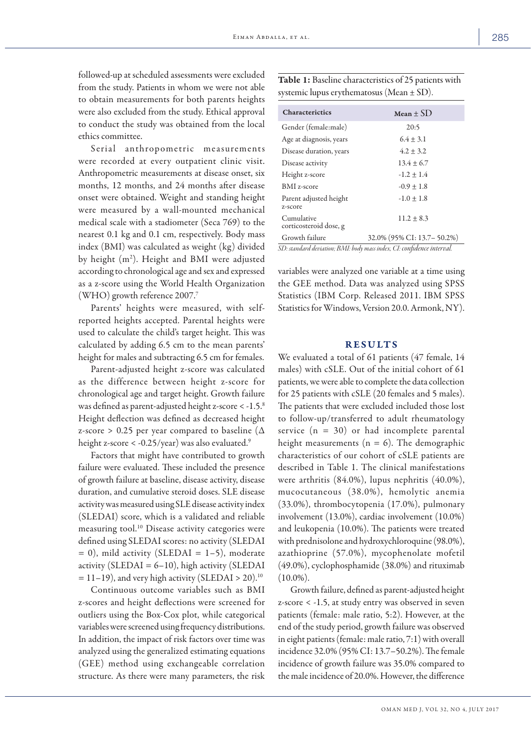followed-up at scheduled assessments were excluded from the study. Patients in whom we were not able to obtain measurements for both parents heights were also excluded from the study. Ethical approval to conduct the study was obtained from the local ethics committee.

Serial anthropometric measurements were recorded at every outpatient clinic visit. Anthropometric measurements at disease onset, six months, 12 months, and 24 months after disease onset were obtained. Weight and standing height were measured by a wall-mounted mechanical medical scale with a stadiometer (Seca 769) to the nearest 0.1 kg and 0.1 cm, respectively. Body mass index (BMI) was calculated as weight (kg) divided by height (m2 ). Height and BMI were adjusted according to chronological age and sex and expressed as a z-score using the World Health Organization (WHO) growth reference 2007.7

Parents' heights were measured, with selfreported heights accepted. Parental heights were used to calculate the child's target height. This was calculated by adding 6.5 cm to the mean parents' height for males and subtracting 6.5 cm for females.

Parent-adjusted height z-score was calculated as the difference between height z-score for chronological age and target height. Growth failure was defined as parent-adjusted height z-score < -1.5.8 Height deflection was defined as decreased height z-score > 0.25 per year compared to baseline ( $\Delta$ height z-score < -0.25/year) was also evaluated.9

Factors that might have contributed to growth failure were evaluated. These included the presence of growth failure at baseline, disease activity, disease duration, and cumulative steroid doses. SLE disease activity was measured using SLE disease activity index (SLEDAI) score, which is a validated and reliable measuring tool.10 Disease activity categories were defined using SLEDAI scores: no activity (SLEDAI  $= 0$ ), mild activity (SLEDAI = 1-5), moderate activity (SLEDAI =  $6-10$ ), high activity (SLEDAI  $= 11-19$ ), and very high activity (SLEDAI > 20).<sup>10</sup>

Continuous outcome variables such as BMI z-scores and height deflections were screened for outliers using the Box-Cox plot, while categorical variables were screened using frequency distributions. In addition, the impact of risk factors over time was analyzed using the generalized estimating equations (GEE) method using exchangeable correlation structure. As there were many parameters, the risk

Table 1: Baseline characteristics of 25 patients with systemic lupus erythematosus (Mean ± SD).

| <b>Characterictics</b>                                                | $Mean + SD$                  |  |  |  |  |  |  |
|-----------------------------------------------------------------------|------------------------------|--|--|--|--|--|--|
| Gender (female:male)                                                  | 20:5                         |  |  |  |  |  |  |
| Age at diagnosis, years                                               | $6.4 \pm 3.1$                |  |  |  |  |  |  |
| Disease duration, years                                               | $4.2 \pm 3.2$                |  |  |  |  |  |  |
| Disease activity                                                      | $13.4 \pm 6.7$               |  |  |  |  |  |  |
| Height z-score                                                        | $-1.2 \pm 1.4$               |  |  |  |  |  |  |
| <b>BMI</b> z-score                                                    | $-0.9 \pm 1.8$               |  |  |  |  |  |  |
| Parent adjusted height<br>z-score                                     | $-1.0 \pm 1.8$               |  |  |  |  |  |  |
| Cumulative<br>corticosteroid dose, g                                  | $11.2 \pm 8.3$               |  |  |  |  |  |  |
| Growth failure                                                        | 32.0% (95% CI: 13.7 – 50.2%) |  |  |  |  |  |  |
| SD: standard deviation: RMI: hody mass index. CI: confidence interval |                              |  |  |  |  |  |  |

*SD: standard deviation; BMI: body mass index, CI: confidence interval.*

variables were analyzed one variable at a time using the GEE method. Data was analyzed using SPSS Statistics (IBM Corp. Released 2011. IBM SPSS Statistics for Windows, Version 20.0. Armonk, NY).

#### RESULTS

We evaluated a total of 61 patients (47 female, 14 males) with cSLE. Out of the initial cohort of 61 patients, we were able to complete the data collection for 25 patients with cSLE (20 females and 5 males). The patients that were excluded included those lost to follow-up/transferred to adult rheumatology service  $(n = 30)$  or had incomplete parental height measurements  $(n = 6)$ . The demographic characteristics of our cohort of cSLE patients are described in Table 1. The clinical manifestations were arthritis (84.0%), lupus nephritis (40.0%), mucocutaneous (38.0%), hemolytic anemia (33.0%), thrombocytopenia (17.0%), pulmonary involvement (13.0%), cardiac involvement (10.0%) and leukopenia (10.0%). The patients were treated with prednisolone and hydroxychloroquine (98.0%), azathioprine (57.0%), mycophenolate mofetil (49.0%), cyclophosphamide (38.0%) and rituximab  $(10.0\%)$ .

Growth failure, defined as parent-adjusted height z-score < -1.5, at study entry was observed in seven patients (female: male ratio, 5:2). However, at the end of the study period, growth failure was observed in eight patients (female: male ratio, 7:1) with overall incidence 32.0% (95% CI: 13.7–50.2%). The female incidence of growth failure was 35.0% compared to the male incidence of 20.0%. However, the difference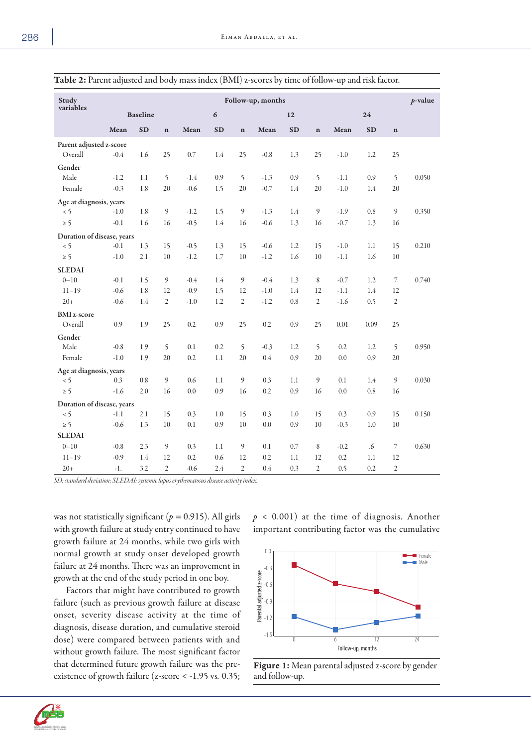| Study<br>variables                                 | Follow-up, months |                 |                      |                  |                  |                      |                  |            |                      | $p$ -value       |            |                      |       |
|----------------------------------------------------|-------------------|-----------------|----------------------|------------------|------------------|----------------------|------------------|------------|----------------------|------------------|------------|----------------------|-------|
|                                                    |                   | <b>Baseline</b> |                      |                  | $\boldsymbol{6}$ |                      |                  |            | 12                   |                  |            |                      |       |
|                                                    | Mean              | <b>SD</b>       | $\mathbf{n}$         | Mean             | <b>SD</b>        | $\mathbf n$          | Mean             | <b>SD</b>  | $\mathbf n$          | Mean             | SD         | $\mathbf n$          |       |
| Parent adjusted z-score<br>Overall                 | $-0.4$            | 1.6             | 25                   | 0.7              | 1.4              | 25                   | $-0.8$           | 1.3        | 25                   | $-1.0$           | 1.2        | 25                   |       |
| Gender<br>Male<br>Female                           | $-1.2$<br>$-0.3$  | 1.1<br>1.8      | 5<br>20              | $-1.4$<br>$-0.6$ | 0.9<br>1.5       | 5<br>20              | $-1.3$<br>$-0.7$ | 0.9<br>1.4 | 5<br>20              | $-1.1$<br>$-1.0$ | 0.9<br>1.4 | 5<br>20              | 0.050 |
| Age at diagnosis, years<br>$\leq$ 5                | $-1.0$            | 1.8             | 9                    | $-1.2$           | 1.5              | $\boldsymbol{9}$     | $-1.3$           | 1.4        | 9                    | $-1.9$           | 0.8        | 9                    | 0.350 |
| $\geq$ 5<br>Duration of disease, years<br>$\leq$ 5 | $-0.1$<br>$-0.1$  | 1.6<br>1.3      | 16<br>15             | $-0.5$<br>$-0.5$ | 1.4<br>1.3       | 16<br>15             | $-0.6$<br>$-0.6$ | 1.3<br>1.2 | 16<br>15             | $-0.7$<br>$-1.0$ | 1.3<br>1.1 | 16<br>15             | 0.210 |
| $\geq$ 5                                           | $-1.0$            | 2.1             | 10                   | $-1.2$           | 1.7              | 10                   | $-1.2$           | 1.6        | 10                   | $-1.1$           | 1.6        | 10                   |       |
| <b>SLEDAI</b><br>$0 - 10$                          | $-0.1$            | 1.5             | 9                    | $-0.4$           | 1.4              | $\mathfrak{g}$       | $-0.4$           | 1.3        | 8                    | $-0.7$           | 1.2        | 7                    | 0.740 |
| $11 - 19$<br>$20+$                                 | $-0.6$<br>$-0.6$  | 1.8<br>1.4      | 12<br>$\overline{2}$ | $-0.9$<br>$-1.0$ | 1.5<br>1.2       | 12<br>$\mathfrak{2}$ | $-1.0$<br>$-1.2$ | 1.4<br>0.8 | 12<br>$\overline{2}$ | $-1.1$<br>$-1.6$ | 1.4<br>0.5 | 12<br>$\overline{2}$ |       |
| <b>BMI</b> z-score<br>Overall                      | 0.9               | 1.9             | 25                   | 0.2              | 0.9              | 25                   | 0.2              | 0.9        | 25                   | 0.01             | 0.09       | 25                   |       |
| Gender<br>Male<br>Female                           | $-0.8$<br>$-1.0$  | 1.9<br>1.9      | 5<br>20              | 0.1<br>0.2       | 0.2<br>1.1       | 5<br>20              | $-0.3$<br>0.4    | 1.2<br>0.9 | 5<br>20              | 0.2<br>0.0       | 1.2<br>0.9 | 5<br>20              | 0.950 |
| Age at diagnosis, years<br>$\leq$ 5                | 0.3               | 0.8             | 9                    | 0.6              | 1.1              | 9                    | 0.3              | 1.1        | 9                    | 0.1              | 1.4        | 9                    | 0.030 |
| $\geq$ 5                                           | $-1.6$            | 2.0             | 16                   | 0.0              | 0.9              | 16                   | 0.2              | 0.9        | 16                   | 0.0              | 0.8        | 16                   |       |
| Duration of disease, years<br>$\leq$ 5             | $-1.1$            | 2.1             | 15                   | 0.3              | 1.0              | 15                   | 0.3              | 1.0        | 15                   | 0.3              | 0.9        | 15                   | 0.150 |
| $\geq$ 5<br><b>SLEDAI</b>                          | $-0.6$            | 1.3             | 10                   | 0.1              | 0.9              | 10                   | 0.0              | 0.9        | $10\,$               | $-0.3$           | 1.0        | 10                   |       |
| $0 - 10$<br>$11 - 19$                              | $-0.8$<br>$-0.9$  | 2.3<br>1.4      | 9<br>12              | 0.3<br>0.2       | 1.1<br>0.6       | $\mathfrak{g}$<br>12 | 0.1<br>0.2       | 0.7<br>1.1 | 8<br>12              | $-0.2$<br>0.2    | .6<br>1.1  | 7<br>12              | 0.630 |
| $20+$                                              | $-1.$             | 3.2             | $\overline{2}$       | $-0.6$           | 2.4              | $\mathfrak{2}$       | 0.4              | 0.3        | $\overline{2}$       | 0.5              | 0.2        | $\overline{2}$       |       |

|  |  | Table 2: Parent adjusted and body mass index (BMI) z-scores by time of follow-up and risk factor. |
|--|--|---------------------------------------------------------------------------------------------------|
|  |  |                                                                                                   |

*SD: standard deviation; SLEDAI: systemic lupus erythematosus disease activity index.*

was not statistically significant (*p =* 0.915). All girls with growth failure at study entry continued to have growth failure at 24 months, while two girls with normal growth at study onset developed growth failure at 24 months. There was an improvement in growth at the end of the study period in one boy.

Factors that might have contributed to growth failure (such as previous growth failure at disease onset, severity disease activity at the time of diagnosis, disease duration, and cumulative steroid dose) were compared between patients with and without growth failure. The most significant factor that determined future growth failure was the preexistence of growth failure (z-score < -1.95 vs*.* 0.35;

 $p < 0.001$ ) at the time of diagnosis. Another important contributing factor was the cumulative



Figure 1: Mean parental adjusted z-score by gender and follow-up.

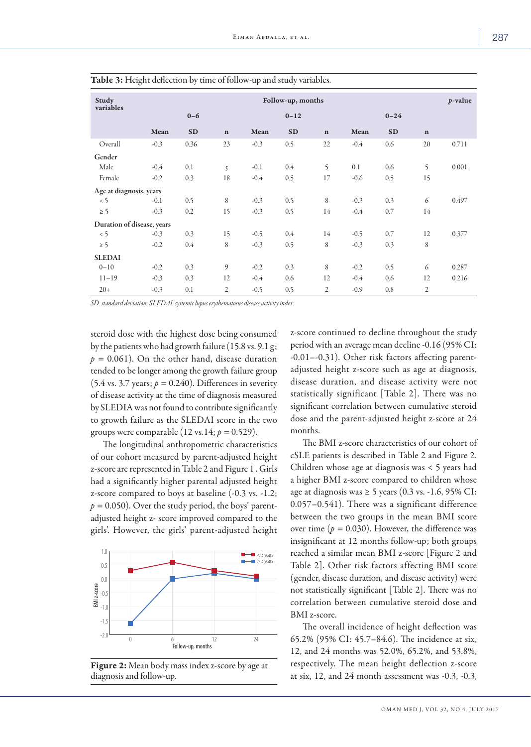| Study<br>variables         | Follow-up, months |           |                |          |           |                |        |           |                |       |
|----------------------------|-------------------|-----------|----------------|----------|-----------|----------------|--------|-----------|----------------|-------|
|                            |                   | $0 - 6$   |                | $0 - 12$ |           |                |        |           |                |       |
|                            | Mean              | <b>SD</b> | $\mathbf n$    | Mean     | <b>SD</b> | $\mathbf n$    | Mean   | <b>SD</b> | $\mathbf n$    |       |
| Overall                    | $-0.3$            | 0.36      | 23             | $-0.3$   | 0.5       | 22             | $-0.4$ | 0.6       | 20             | 0.711 |
| Gender                     |                   |           |                |          |           |                |        |           |                |       |
| Male                       | $-0.4$            | 0.1       | 5              | $-0.1$   | $0.4\,$   | 5              | 0.1    | 0.6       | 5              | 0.001 |
| Female                     | $-0.2$            | 0.3       | 18             | $-0.4$   | 0.5       | 17             | $-0.6$ | 0.5       | 15             |       |
| Age at diagnosis, years    |                   |           |                |          |           |                |        |           |                |       |
| < 5                        | $-0.1$            | 0.5       | 8              | $-0.3$   | 0.5       | 8              | $-0.3$ | 0.3       | 6              | 0.497 |
| $\geq$ 5                   | $-0.3$            | 0.2       | 15             | $-0.3$   | 0.5       | 14             | $-0.4$ | 0.7       | 14             |       |
| Duration of disease, years |                   |           |                |          |           |                |        |           |                |       |
| $\leq$ 5                   | $-0.3$            | 0.3       | 15             | $-0.5$   | 0.4       | 14             | $-0.5$ | 0.7       | 12             | 0.377 |
| $\geq$ 5                   | $-0.2$            | $0.4\,$   | 8              | $-0.3$   | 0.5       | 8              | $-0.3$ | 0.3       | 8              |       |
| <b>SLEDAI</b>              |                   |           |                |          |           |                |        |           |                |       |
| $0 - 10$                   | $-0.2$            | 0.3       | 9              | $-0.2$   | 0.3       | 8              | $-0.2$ | 0.5       | 6              | 0.287 |
| $11 - 19$                  | $-0.3$            | 0.3       | 12             | $-0.4$   | 0.6       | 12             | $-0.4$ | 0.6       | 12             | 0.216 |
| $20+$                      | $-0.3$            | 0.1       | $\mathfrak{2}$ | $-0.5$   | 0.5       | $\overline{2}$ | $-0.9$ | 0.8       | $\overline{2}$ |       |

Table 3: Height deflection by time of follow-up and study variables.

*SD: standard deviation; SLEDAI: systemic lupus erythematosus disease activity index.*

steroid dose with the highest dose being consumed by the patients who had growth failure (15.8 vs. 9.1 g;  $p = 0.061$ ). On the other hand, disease duration tended to be longer among the growth failure group  $(5.4 \text{ vs. } 3.7 \text{ years}; p = 0.240)$ . Differences in severity of disease activity at the time of diagnosis measured by SLEDIA was not found to contribute significantly to growth failure as the SLEDAI score in the two groups were comparable  $(12 \text{ vs. } 14; p = 0.529)$ .

The longitudinal anthropometric characteristics of our cohort measured by parent-adjusted height z-score are represented in Table 2 and Figure 1 . Girls had a significantly higher parental adjusted height z-score compared to boys at baseline (-0.3 vs. -1.2;  $p = 0.050$ ). Over the study period, the boys' parentadjusted height z- score improved compared to the girls'. However, the girls' parent-adjusted height



Figure 2: Mean body mass index z-score by age at diagnosis and follow-up.

z-score continued to decline throughout the study period with an average mean decline -0.16 (95% CI: -0.01–-0.31). Other risk factors affecting parentadjusted height z-score such as age at diagnosis, disease duration, and disease activity were not statistically significant [Table 2]. There was no significant correlation between cumulative steroid dose and the parent-adjusted height z-score at 24 months.

The BMI z-score characteristics of our cohort of cSLE patients is described in Table 2 and Figure 2. Children whose age at diagnosis was < 5 years had a higher BMI z-score compared to children whose age at diagnosis was ≥ 5 years (0.3 vs. -1.6, 95% CI: 0.057–0.541). There was a significant difference between the two groups in the mean BMI score over time ( $p = 0.030$ ). However, the difference was insignificant at 12 months follow-up; both groups reached a similar mean BMI z-score [Figure 2 and Table 2]. Other risk factors affecting BMI score (gender, disease duration, and disease activity) were not statistically significant [Table 2]. There was no correlation between cumulative steroid dose and BMI z-score.

The overall incidence of height deflection was 65.2% (95% CI: 45.7–84.6). The incidence at six, 12, and 24 months was 52.0%, 65.2%, and 53.8%, respectively. The mean height deflection z-score at six, 12, and 24 month assessment was -0.3, -0.3,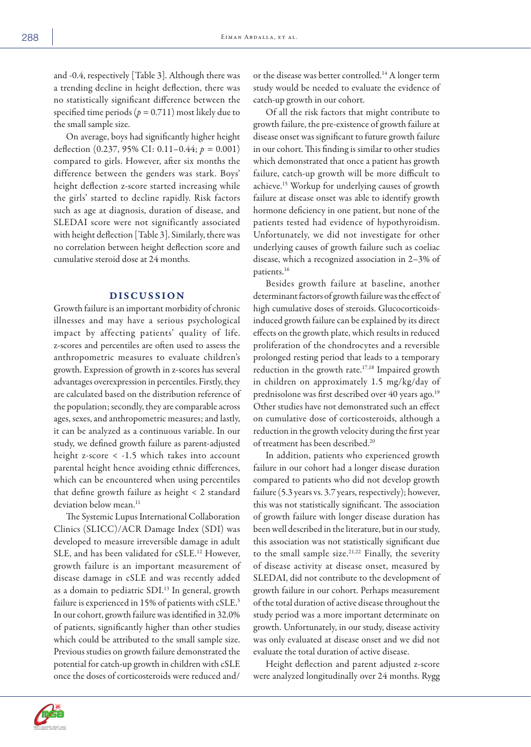and -0.4, respectively [Table 3]. Although there was a trending decline in height deflection, there was no statistically significant difference between the specified time periods ( $p = 0.711$ ) most likely due to the small sample size.

On average, boys had significantly higher height deflection (0.237, 95% CI: 0.11–0.44; *p =* 0.001) compared to girls. However, after six months the difference between the genders was stark. Boys' height deflection z-score started increasing while the girls' started to decline rapidly. Risk factors such as age at diagnosis, duration of disease, and SLEDAI score were not significantly associated with height deflection [Table 3]. Similarly, there was no correlation between height deflection score and cumulative steroid dose at 24 months.

## DISCUSSION

Growth failure is an important morbidity of chronic illnesses and may have a serious psychological impact by affecting patients' quality of life. z-scores and percentiles are often used to assess the anthropometric measures to evaluate children's growth. Expression of growth in z-scores has several advantages overexpression in percentiles. Firstly, they are calculated based on the distribution reference of the population; secondly, they are comparable across ages, sexes, and anthropometric measures; and lastly, it can be analyzed as a continuous variable. In our study, we defined growth failure as parent-adjusted height z-score < -1.5 which takes into account parental height hence avoiding ethnic differences, which can be encountered when using percentiles that define growth failure as height < 2 standard deviation below mean.<sup>11</sup>

The Systemic Lupus International Collaboration Clinics (SLICC)/ACR Damage Index (SDI) was developed to measure irreversible damage in adult SLE, and has been validated for cSLE. 12 However, growth failure is an important measurement of disease damage in cSLE and was recently added as a domain to pediatric SDI.<sup>13</sup> In general, growth failure is experienced in 15% of patients with cSLE. 5 In our cohort, growth failure was identified in 32.0% of patients, significantly higher than other studies which could be attributed to the small sample size. Previous studies on growth failure demonstrated the potential for catch-up growth in children with cSLE once the doses of corticosteroids were reduced and/

or the disease was better controlled.<sup>14</sup> A longer term study would be needed to evaluate the evidence of catch-up growth in our cohort.

Of all the risk factors that might contribute to growth failure, the pre-existence of growth failure at disease onset was significant to future growth failure in our cohort. This finding is similar to other studies which demonstrated that once a patient has growth failure, catch-up growth will be more difficult to achieve.15 Workup for underlying causes of growth failure at disease onset was able to identify growth hormone deficiency in one patient, but none of the patients tested had evidence of hypothyroidism. Unfortunately, we did not investigate for other underlying causes of growth failure such as coeliac disease, which a recognized association in 2–3% of patients.16

Besides growth failure at baseline, another determinant factors of growth failure was the effect of high cumulative doses of steroids. Glucocorticoidsinduced growth failure can be explained by its direct effects on the growth plate, which results in reduced proliferation of the chondrocytes and a reversible prolonged resting period that leads to a temporary reduction in the growth rate.<sup>17,18</sup> Impaired growth in children on approximately 1.5 mg/kg/day of prednisolone was first described over 40 years ago.<sup>19</sup> Other studies have not demonstrated such an effect on cumulative dose of corticosteroids, although a reduction in the growth velocity during the first year of treatment has been described.20

In addition, patients who experienced growth failure in our cohort had a longer disease duration compared to patients who did not develop growth failure (5.3 years vs. 3.7 years, respectively); however, this was not statistically significant. The association of growth failure with longer disease duration has been well described in the literature, but in our study, this association was not statistically significant due to the small sample size.21,22 Finally, the severity of disease activity at disease onset, measured by SLEDAI, did not contribute to the development of growth failure in our cohort. Perhaps measurement of the total duration of active disease throughout the study period was a more important determinate on growth. Unfortunately, in our study, disease activity was only evaluated at disease onset and we did not evaluate the total duration of active disease.

Height deflection and parent adjusted z-score were analyzed longitudinally over 24 months. Rygg

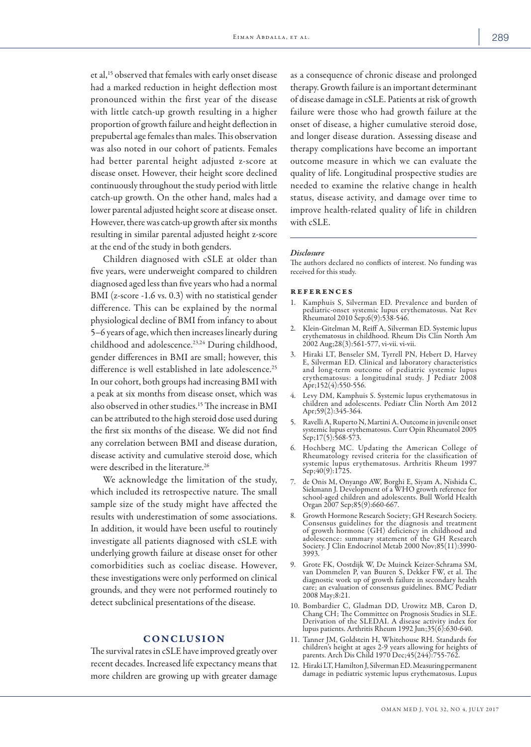et al,15 observed that females with early onset disease had a marked reduction in height deflection most pronounced within the first year of the disease with little catch-up growth resulting in a higher proportion of growth failure and height deflection in prepubertal age females than males. This observation was also noted in our cohort of patients. Females had better parental height adjusted z-score at disease onset. However, their height score declined continuously throughout the study period with little catch-up growth. On the other hand, males had a lower parental adjusted height score at disease onset. However, there was catch-up growth after six months resulting in similar parental adjusted height z-score at the end of the study in both genders.

Children diagnosed with cSLE at older than five years, were underweight compared to children diagnosed aged less than five years who had a normal BMI (z-score -1.6 vs. 0.3) with no statistical gender difference. This can be explained by the normal physiological decline of BMI from infancy to about 5–6 years of age, which then increases linearly during childhood and adolescence.<sup>23,24</sup> During childhood, gender differences in BMI are small; however, this difference is well established in late adolescence.<sup>25</sup> In our cohort, both groups had increasing BMI with a peak at six months from disease onset, which was also observed in other studies.15 The increase in BMI can be attributed to the high steroid dose used during the first six months of the disease. We did not find any correlation between BMI and disease duration, disease activity and cumulative steroid dose, which were described in the literature.<sup>26</sup>

We acknowledge the limitation of the study, which included its retrospective nature. The small sample size of the study might have affected the results with underestimation of some associations. In addition, it would have been useful to routinely investigate all patients diagnosed with cSLE with underlying growth failure at disease onset for other comorbidities such as coeliac disease. However, these investigations were only performed on clinical grounds, and they were not performed routinely to detect subclinical presentations of the disease.

#### CONCLUSION

The survival rates in cSLE have improved greatly over recent decades. Increased life expectancy means that more children are growing up with greater damage as a consequence of chronic disease and prolonged therapy. Growth failure is an important determinant of disease damage in cSLE. Patients at risk of growth failure were those who had growth failure at the onset of disease, a higher cumulative steroid dose, and longer disease duration. Assessing disease and therapy complications have become an important outcome measure in which we can evaluate the quality of life. Longitudinal prospective studies are needed to examine the relative change in health status, disease activity, and damage over time to improve health-related quality of life in children with cSLE.

#### *Disclosure*

The authors declared no conflicts of interest. No funding was received for this study.

#### references

- 1. Kamphuis S, Silverman ED. Prevalence and burden of pediatric-onset systemic lupus erythematosus. Nat Rev Rheumatol 2010 Sep;6(9):538-546.
- 2. Klein-Gitelman M, Reiff A, Silverman ED. Systemic lupus erythematosus in childhood. Rheum Dis Clin North Am 2002 Aug;28(3):561-577, vi-vii. vi-vii.
- 3. Hiraki LT, Benseler SM, Tyrrell PN, Hebert D, Harvey E, Silverman ED. Clinical and laboratory characteristics and long-term outcome of pediatric systemic lupus erythematosus: a longitudinal study. J Pediatr 2008 Apr;152(4):550-556.
- 4. Levy DM, Kamphuis S. Systemic lupus erythematosus in children and adolescents. Pediatr Clin North Am 2012 Apr;59(2):345-364.
- 5. Ravelli A, Ruperto N, Martini A. Outcome in juvenile onset systemic lupus erythematosus. Curr Opin Rheumatol 2005 Sep;17(5):568-573.
- 6. Hochberg MC. Updating the American College of Rheumatology revised criteria for the classification of systemic lupus erythematosus. Arthritis Rheum 1997 Sep;40(9):1725.
- 7. de Onis M, Onyango AW, Borghi E, Siyam A, Nishida C, school-aged children and adolescents. Bull World Health Organ 2007 Sep;85(9):660-667.
- Growth Hormone Research Society; GH Research Society. Consensus guidelines for the diagnosis and treatment of growth hormone (GH) deficiency in childhood and adolescence: summary statement of the GH Research Society. J Clin Endocrinol Metab 2000 Nov;85(11):3990- 3993.
- 9. Grote FK, Oostdijk W, De Muinck Keizer-Schrama SM, van Dommelen P, van Buuren S, Dekker FW, et al. The diagnostic work up of growth failure in secondary health care; an evaluation of consensus guidelines. BMC Pediatr 2008 May;8:21.
- 10. Bombardier C, Gladman DD, Urowitz MB, Caron D, Chang CH; The Committee on Prognosis Studies in SLE. Derivation of the SLEDAI. A disease activity index for lupus patients. Arthritis Rheum 1992 Jun;35(6):630-640.
- 11. Tanner JM, Goldstein H, Whitehouse RH. Standards for children's height at ages 2-9 years allowing for heights of parents. Arch Dis Child 1970 Dec;45(244):755-762.
- 12. Hiraki LT, Hamilton J, Silverman ED. Measuring permanent damage in pediatric systemic lupus erythematosus. Lupus